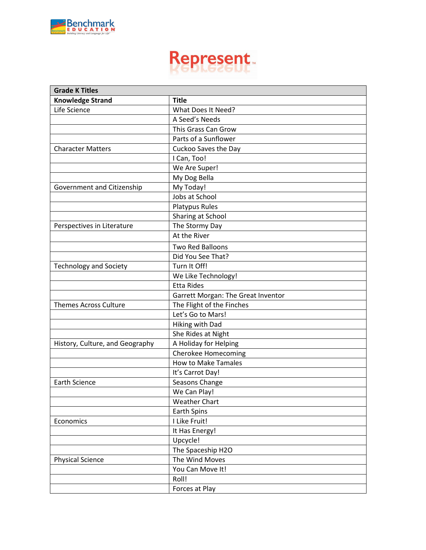

| <b>Grade K Titles</b>           |                                    |
|---------------------------------|------------------------------------|
| <b>Knowledge Strand</b>         | <b>Title</b>                       |
| Life Science                    | What Does It Need?                 |
|                                 | A Seed's Needs                     |
|                                 | This Grass Can Grow                |
|                                 | Parts of a Sunflower               |
| <b>Character Matters</b>        | Cuckoo Saves the Day               |
|                                 | I Can, Too!                        |
|                                 | We Are Super!                      |
|                                 | My Dog Bella                       |
| Government and Citizenship      | My Today!                          |
|                                 | Jobs at School                     |
|                                 | <b>Platypus Rules</b>              |
|                                 | Sharing at School                  |
| Perspectives in Literature      | The Stormy Day                     |
|                                 | At the River                       |
|                                 | Two Red Balloons                   |
|                                 | Did You See That?                  |
| <b>Technology and Society</b>   | Turn It Off!                       |
|                                 | We Like Technology!                |
|                                 | <b>Etta Rides</b>                  |
|                                 | Garrett Morgan: The Great Inventor |
| <b>Themes Across Culture</b>    | The Flight of the Finches          |
|                                 | Let's Go to Mars!                  |
|                                 | Hiking with Dad                    |
|                                 | She Rides at Night                 |
| History, Culture, and Geography | A Holiday for Helping              |
|                                 | <b>Cherokee Homecoming</b>         |
|                                 | <b>How to Make Tamales</b>         |
|                                 | It's Carrot Day!                   |
| <b>Earth Science</b>            | Seasons Change                     |
|                                 | We Can Play!                       |
|                                 | <b>Weather Chart</b>               |
|                                 | Earth Spins                        |
| Economics                       | I Like Fruit!                      |
|                                 | It Has Energy!                     |
|                                 | Upcycle!                           |
|                                 | The Spaceship H2O                  |
| <b>Physical Science</b>         | The Wind Moves                     |
|                                 | You Can Move It!                   |
|                                 | Roll!                              |
|                                 | Forces at Play                     |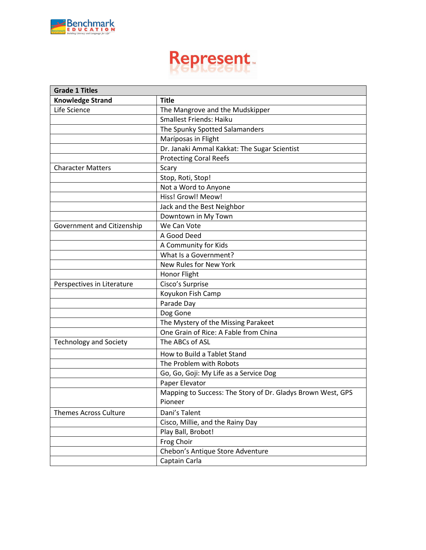

| <b>Grade 1 Titles</b>         |                                                             |
|-------------------------------|-------------------------------------------------------------|
| <b>Knowledge Strand</b>       | <b>Title</b>                                                |
| Life Science                  | The Mangrove and the Mudskipper                             |
|                               | Smallest Friends: Haiku                                     |
|                               | The Spunky Spotted Salamanders                              |
|                               | Maríposas in Flight                                         |
|                               | Dr. Janaki Ammal Kakkat: The Sugar Scientist                |
|                               | <b>Protecting Coral Reefs</b>                               |
| <b>Character Matters</b>      | Scary                                                       |
|                               | Stop, Roti, Stop!                                           |
|                               | Not a Word to Anyone                                        |
|                               | Hiss! Growl! Meow!                                          |
|                               | Jack and the Best Neighbor                                  |
|                               | Downtown in My Town                                         |
| Government and Citizenship    | We Can Vote                                                 |
|                               | A Good Deed                                                 |
|                               | A Community for Kids                                        |
|                               | What Is a Government?                                       |
|                               | New Rules for New York                                      |
|                               | Honor Flight                                                |
| Perspectives in Literature    | Cisco's Surprise                                            |
|                               | Koyukon Fish Camp                                           |
|                               | Parade Day                                                  |
|                               | Dog Gone                                                    |
|                               | The Mystery of the Missing Parakeet                         |
|                               | One Grain of Rice: A Fable from China                       |
| <b>Technology and Society</b> | The ABCs of ASL                                             |
|                               | How to Build a Tablet Stand                                 |
|                               | The Problem with Robots                                     |
|                               | Go, Go, Goji: My Life as a Service Dog                      |
|                               | Paper Elevator                                              |
|                               | Mapping to Success: The Story of Dr. Gladys Brown West, GPS |
|                               | Pioneer                                                     |
| <b>Themes Across Culture</b>  | Dani's Talent                                               |
|                               | Cisco, Millie, and the Rainy Day                            |
|                               | Play Ball, Brobot!                                          |
|                               | Frog Choir                                                  |
|                               | Chebon's Antique Store Adventure                            |
|                               | Captain Carla                                               |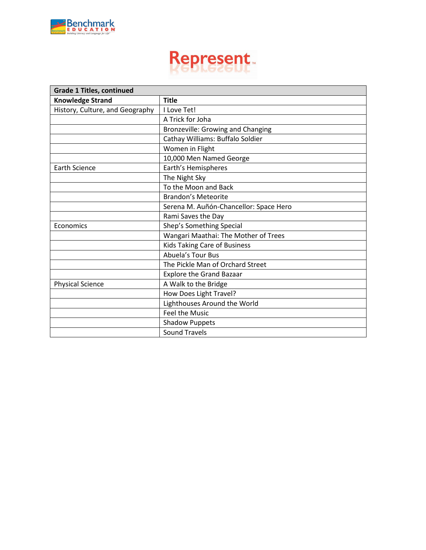

| <b>Grade 1 Titles, continued</b> |                                          |
|----------------------------------|------------------------------------------|
| <b>Knowledge Strand</b>          | <b>Title</b>                             |
| History, Culture, and Geography  | I Love Tet!                              |
|                                  | A Trick for Joha                         |
|                                  | <b>Bronzeville: Growing and Changing</b> |
|                                  | Cathay Williams: Buffalo Soldier         |
|                                  | Women in Flight                          |
|                                  | 10,000 Men Named George                  |
| <b>Earth Science</b>             | Earth's Hemispheres                      |
|                                  | The Night Sky                            |
|                                  | To the Moon and Back                     |
|                                  | <b>Brandon's Meteorite</b>               |
|                                  | Serena M. Auñón-Chancellor: Space Hero   |
|                                  | Rami Saves the Day                       |
| Economics                        | Shep's Something Special                 |
|                                  | Wangari Maathai: The Mother of Trees     |
|                                  | <b>Kids Taking Care of Business</b>      |
|                                  | Abuela's Tour Bus                        |
|                                  | The Pickle Man of Orchard Street         |
|                                  | <b>Explore the Grand Bazaar</b>          |
| <b>Physical Science</b>          | A Walk to the Bridge                     |
|                                  | How Does Light Travel?                   |
|                                  | Lighthouses Around the World             |
|                                  | <b>Feel the Music</b>                    |
|                                  | <b>Shadow Puppets</b>                    |
|                                  | <b>Sound Travels</b>                     |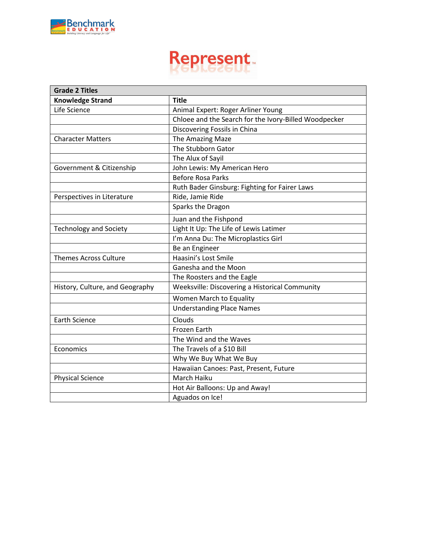

| <b>Grade 2 Titles</b>           |                                                       |
|---------------------------------|-------------------------------------------------------|
| <b>Knowledge Strand</b>         | <b>Title</b>                                          |
| Life Science                    | Animal Expert: Roger Arliner Young                    |
|                                 | Chloee and the Search for the Ivory-Billed Woodpecker |
|                                 | Discovering Fossils in China                          |
| <b>Character Matters</b>        | The Amazing Maze                                      |
|                                 | The Stubborn Gator                                    |
|                                 | The Alux of Sayil                                     |
| Government & Citizenship        | John Lewis: My American Hero                          |
|                                 | <b>Before Rosa Parks</b>                              |
|                                 | Ruth Bader Ginsburg: Fighting for Fairer Laws         |
| Perspectives in Literature      | Ride, Jamie Ride                                      |
|                                 | Sparks the Dragon                                     |
|                                 | Juan and the Fishpond                                 |
| <b>Technology and Society</b>   | Light It Up: The Life of Lewis Latimer                |
|                                 | I'm Anna Du: The Microplastics Girl                   |
|                                 | Be an Engineer                                        |
| <b>Themes Across Culture</b>    | Haasini's Lost Smile                                  |
|                                 | Ganesha and the Moon                                  |
|                                 | The Roosters and the Eagle                            |
| History, Culture, and Geography | Weeksville: Discovering a Historical Community        |
|                                 | Women March to Equality                               |
|                                 | <b>Understanding Place Names</b>                      |
| <b>Earth Science</b>            | Clouds                                                |
|                                 | <b>Frozen Earth</b>                                   |
|                                 | The Wind and the Waves                                |
| Economics                       | The Travels of a \$10 Bill                            |
|                                 | Why We Buy What We Buy                                |
|                                 | Hawaiian Canoes: Past, Present, Future                |
| <b>Physical Science</b>         | March Haiku                                           |
|                                 | Hot Air Balloons: Up and Away!                        |
|                                 | Aguados on Ice!                                       |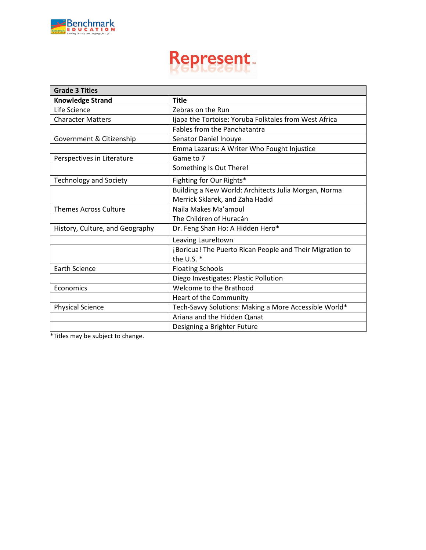

| <b>Grade 3 Titles</b>           |                                                                          |
|---------------------------------|--------------------------------------------------------------------------|
| <b>Knowledge Strand</b>         | <b>Title</b>                                                             |
| Life Science                    | Zebras on the Run                                                        |
| <b>Character Matters</b>        | Ijapa the Tortoise: Yoruba Folktales from West Africa                    |
|                                 | <b>Fables from the Panchatantra</b>                                      |
| Government & Citizenship        | Senator Daniel Inouye                                                    |
|                                 | Emma Lazarus: A Writer Who Fought Injustice                              |
| Perspectives in Literature      | Game to 7                                                                |
|                                 | Something Is Out There!                                                  |
| <b>Technology and Society</b>   | Fighting for Our Rights*                                                 |
|                                 | Building a New World: Architects Julia Morgan, Norma                     |
|                                 | Merrick Sklarek, and Zaha Hadid                                          |
| <b>Themes Across Culture</b>    | Naila Makes Ma'amoul                                                     |
|                                 | The Children of Huracán                                                  |
| History, Culture, and Geography | Dr. Feng Shan Ho: A Hidden Hero*                                         |
|                                 | Leaving Laureltown                                                       |
|                                 | ¡Boricua! The Puerto Rican People and Their Migration to<br>the U.S. $*$ |
| <b>Earth Science</b>            | <b>Floating Schools</b>                                                  |
|                                 | Diego Investigates: Plastic Pollution                                    |
| Economics                       | Welcome to the Brathood                                                  |
|                                 | Heart of the Community                                                   |
| <b>Physical Science</b>         | Tech-Savvy Solutions: Making a More Accessible World*                    |
|                                 | Ariana and the Hidden Qanat                                              |
|                                 | Designing a Brighter Future                                              |

\*Titles may be subject to change.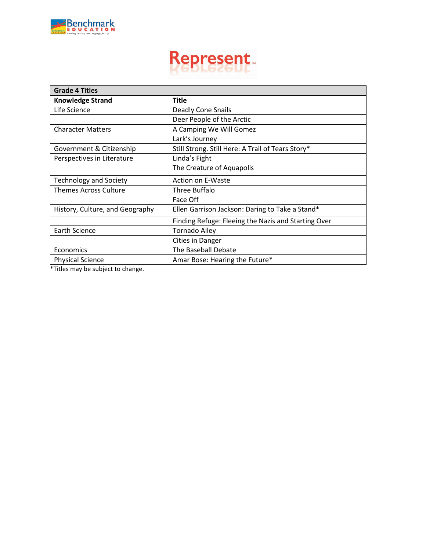

| <b>Title</b>                                        |
|-----------------------------------------------------|
| <b>Deadly Cone Snails</b>                           |
| Deer People of the Arctic                           |
| A Camping We Will Gomez                             |
| Lark's Journey                                      |
| Still Strong. Still Here: A Trail of Tears Story*   |
| Linda's Fight                                       |
| The Creature of Aquapolis                           |
| Action on E-Waste                                   |
| Three Buffalo                                       |
| Face Off                                            |
| Ellen Garrison Jackson: Daring to Take a Stand*     |
| Finding Refuge: Fleeing the Nazis and Starting Over |
| <b>Tornado Alley</b>                                |
| <b>Cities in Danger</b>                             |
| The Baseball Debate                                 |
| Amar Bose: Hearing the Future*                      |
|                                                     |

\*Titles may be subject to change.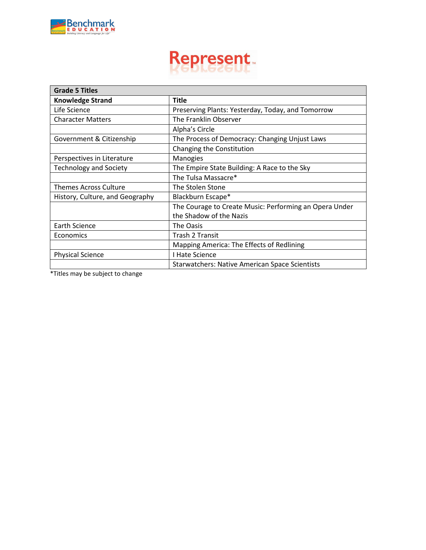

| <b>Grade 5 Titles</b>           |                                                        |
|---------------------------------|--------------------------------------------------------|
| <b>Knowledge Strand</b>         | <b>Title</b>                                           |
| Life Science                    | Preserving Plants: Yesterday, Today, and Tomorrow      |
| <b>Character Matters</b>        | The Franklin Observer                                  |
|                                 | Alpha's Circle                                         |
| Government & Citizenship        | The Process of Democracy: Changing Unjust Laws         |
|                                 | Changing the Constitution                              |
| Perspectives in Literature      | Manogies                                               |
| <b>Technology and Society</b>   | The Empire State Building: A Race to the Sky           |
|                                 | The Tulsa Massacre*                                    |
| <b>Themes Across Culture</b>    | The Stolen Stone                                       |
| History, Culture, and Geography | Blackburn Escape*                                      |
|                                 | The Courage to Create Music: Performing an Opera Under |
|                                 | the Shadow of the Nazis                                |
| Earth Science                   | The Oasis                                              |
| Economics                       | <b>Trash 2 Transit</b>                                 |
|                                 | Mapping America: The Effects of Redlining              |
| <b>Physical Science</b>         | I Hate Science                                         |
|                                 | <b>Starwatchers: Native American Space Scientists</b>  |

\*Titles may be subject to change